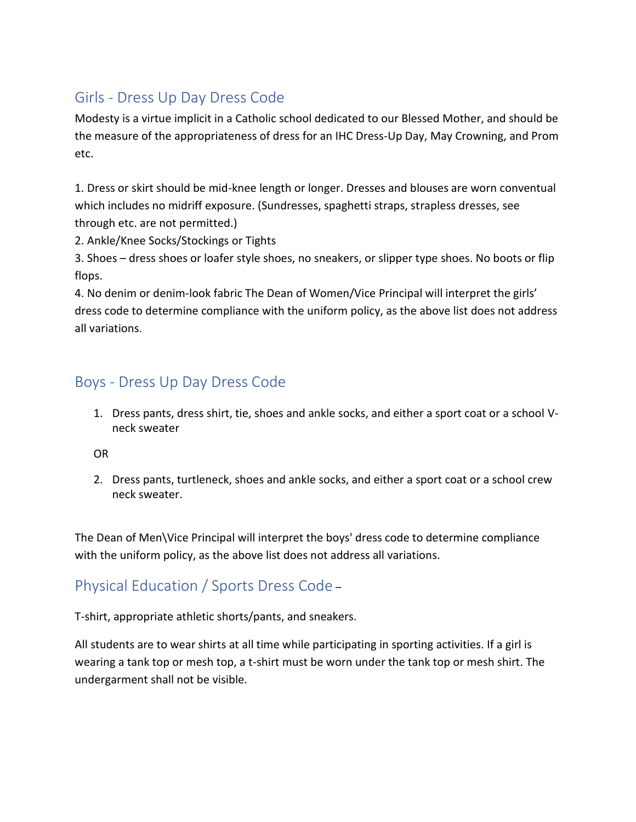## Girls - Dress Up Day Dress Code

Modesty is a virtue implicit in a Catholic school dedicated to our Blessed Mother, and should be the measure of the appropriateness of dress for an IHC Dress-Up Day, May Crowning, and Prom etc.

1. Dress or skirt should be mid-knee length or longer. Dresses and blouses are worn conventual which includes no midriff exposure. (Sundresses, spaghetti straps, strapless dresses, see through etc. are not permitted.)

2. Ankle/Knee Socks/Stockings or Tights

3. Shoes – dress shoes or loafer style shoes, no sneakers, or slipper type shoes. No boots or flip flops.

4. No denim or denim-look fabric The Dean of Women/Vice Principal will interpret the girls' dress code to determine compliance with the uniform policy, as the above list does not address all variations.

## Boys - Dress Up Day Dress Code

1. Dress pants, dress shirt, tie, shoes and ankle socks, and either a sport coat or a school Vneck sweater

OR

2. Dress pants, turtleneck, shoes and ankle socks, and either a sport coat or a school crew neck sweater.

The Dean of Men\Vice Principal will interpret the boys' dress code to determine compliance with the uniform policy, as the above list does not address all variations.

## Physical Education / Sports Dress Code –

T-shirt, appropriate athletic shorts/pants, and sneakers.

All students are to wear shirts at all time while participating in sporting activities. If a girl is wearing a tank top or mesh top, a t-shirt must be worn under the tank top or mesh shirt. The undergarment shall not be visible.